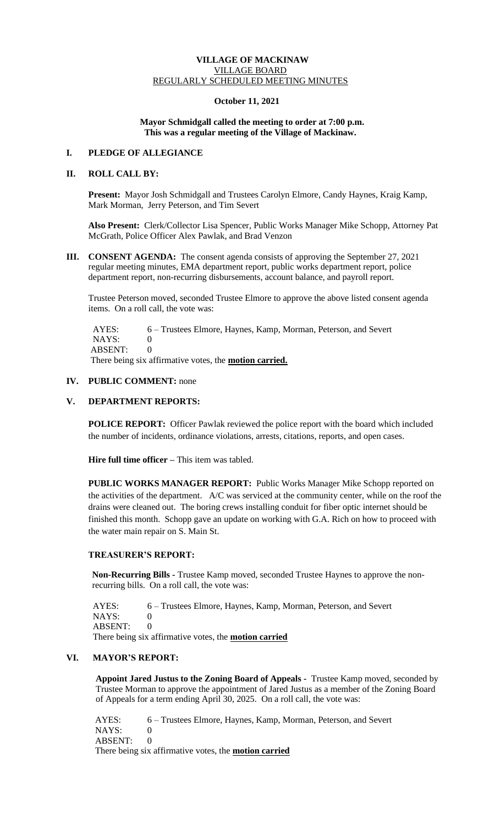#### **VILLAGE OF MACKINAW** VILLAGE BOARD REGULARLY SCHEDULED MEETING MINUTES

# **October 11, 2021**

#### **Mayor Schmidgall called the meeting to order at 7:00 p.m. This was a regular meeting of the Village of Mackinaw.**

## **I. PLEDGE OF ALLEGIANCE**

# **II. ROLL CALL BY:**

**Present:** Mayor Josh Schmidgall and Trustees Carolyn Elmore, Candy Haynes, Kraig Kamp, Mark Morman, Jerry Peterson, and Tim Severt

**Also Present:** Clerk/Collector Lisa Spencer, Public Works Manager Mike Schopp, Attorney Pat McGrath, Police Officer Alex Pawlak, and Brad Venzon

**III. CONSENT AGENDA:** The consent agenda consists of approving the September 27, 2021 regular meeting minutes, EMA department report, public works department report, police department report, non-recurring disbursements, account balance, and payroll report.

Trustee Peterson moved, seconded Trustee Elmore to approve the above listed consent agenda items. On a roll call, the vote was:

AYES: 6 – Trustees Elmore, Haynes, Kamp, Morman, Peterson, and Severt NAYS: 0 ABSENT: 0 There being six affirmative votes, the **motion carried.**

# **IV. PUBLIC COMMENT:** none

## **V. DEPARTMENT REPORTS:**

POLICE REPORT: Officer Pawlak reviewed the police report with the board which included the number of incidents, ordinance violations, arrests, citations, reports, and open cases.

**Hire full time officer** – This item was tabled.

**PUBLIC WORKS MANAGER REPORT:** Public Works Manager Mike Schopp reported on the activities of the department. A/C was serviced at the community center, while on the roof the drains were cleaned out. The boring crews installing conduit for fiber optic internet should be finished this month. Schopp gave an update on working with G.A. Rich on how to proceed with the water main repair on S. Main St.

# **TREASURER'S REPORT:**

**Non-Recurring Bills -** Trustee Kamp moved, seconded Trustee Haynes to approve the nonrecurring bills. On a roll call, the vote was:

 AYES: 6 – Trustees Elmore, Haynes, Kamp, Morman, Peterson, and Severt NAYS: 0 ABSENT: 0 There being six affirmative votes, the **motion carried**

# **VI. MAYOR'S REPORT:**

**Appoint Jared Justus to the Zoning Board of Appeals -** Trustee Kamp moved, seconded by Trustee Morman to approve the appointment of Jared Justus as a member of the Zoning Board of Appeals for a term ending April 30, 2025. On a roll call, the vote was:

AYES: 6 – Trustees Elmore, Haynes, Kamp, Morman, Peterson, and Severt NAYS: 0 ABSENT: 0 There being six affirmative votes, the **motion carried**